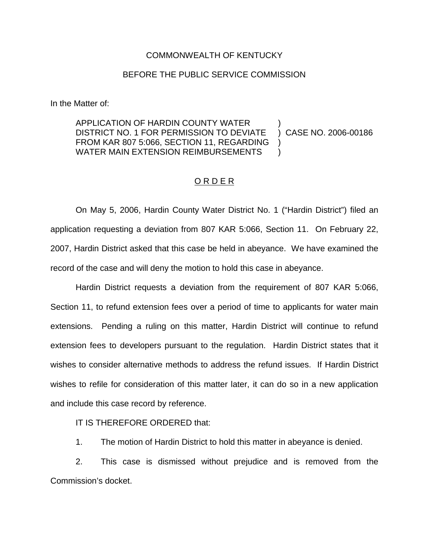## COMMONWEALTH OF KENTUCKY

## BEFORE THE PUBLIC SERVICE COMMISSION

In the Matter of:

APPLICATION OF HARDIN COUNTY WATER DISTRICT NO. 1 FOR PERMISSION TO DEVIATE FROM KAR 807 5:066, SECTION 11, REGARDING WATER MAIN EXTENSION REIMBURSEMENTS ) ) CASE NO. 2006-00186 )  $\lambda$ 

## ORDER

On May 5, 2006, Hardin County Water District No. 1 ("Hardin District") filed an application requesting a deviation from 807 KAR 5:066, Section 11. On February 22, 2007, Hardin District asked that this case be held in abeyance. We have examined the record of the case and will deny the motion to hold this case in abeyance.

Hardin District requests a deviation from the requirement of 807 KAR 5:066, Section 11, to refund extension fees over a period of time to applicants for water main extensions. Pending a ruling on this matter, Hardin District will continue to refund extension fees to developers pursuant to the regulation. Hardin District states that it wishes to consider alternative methods to address the refund issues. If Hardin District wishes to refile for consideration of this matter later, it can do so in a new application and include this case record by reference.

IT IS THEREFORE ORDERED that:

1. The motion of Hardin District to hold this matter in abeyance is denied.

2. This case is dismissed without prejudice and is removed from the Commission's docket.